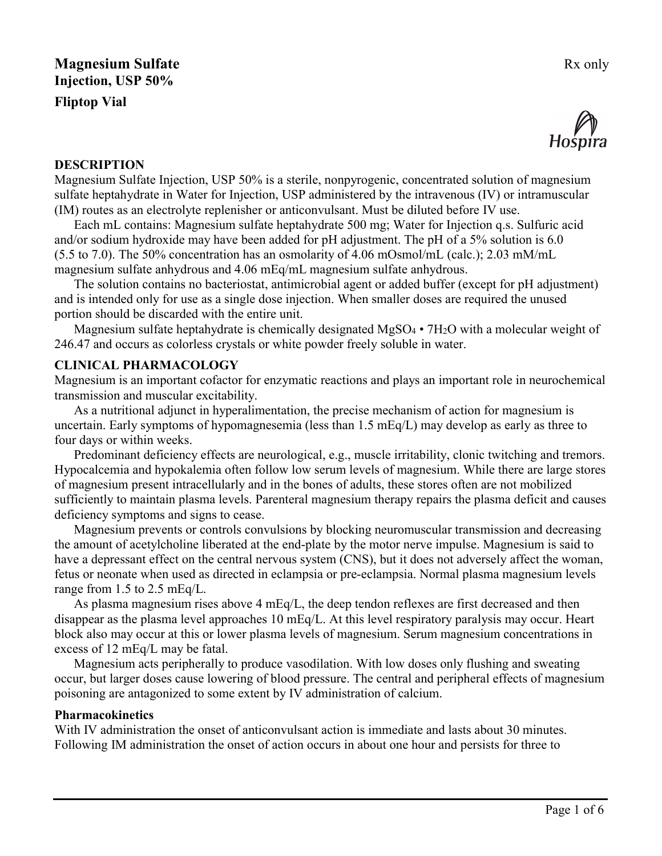

#### **DESCRIPTION**

Magnesium Sulfate Injection, USP 50% is a sterile, nonpyrogenic, concentrated solution of magnesium sulfate heptahydrate in Water for Injection, USP administered by the intravenous (IV) or intramuscular (IM) routes as an electrolyte replenisher or anticonvulsant. Must be diluted before IV use.

Each mL contains: Magnesium sulfate heptahydrate 500 mg; Water for Injection q.s. Sulfuric acid and/or sodium hydroxide may have been added for pH adjustment. The pH of a 5% solution is 6.0 (5.5 to 7.0). The 50% concentration has an osmolarity of 4.06 mOsmol/mL (calc.); 2.03 mM/mL magnesium sulfate anhydrous and 4.06 mEq/mL magnesium sulfate anhydrous.

The solution contains no bacteriostat, antimicrobial agent or added buffer (except for pH adjustment) and is intended only for use as a single dose injection. When smaller doses are required the unused portion should be discarded with the entire unit.

Magnesium sulfate heptahydrate is chemically designated  $MgSO_4 \cdot 7H_2O$  with a molecular weight of 246.47 and occurs as colorless crystals or white powder freely soluble in water.

### **CLINICAL PHARMACOLOGY**

Magnesium is an important cofactor for enzymatic reactions and plays an important role in neurochemical transmission and muscular excitability.

As a nutritional adjunct in hyperalimentation, the precise mechanism of action for magnesium is uncertain. Early symptoms of hypomagnesemia (less than 1.5 mEq/L) may develop as early as three to four days or within weeks.

Predominant deficiency effects are neurological, e.g., muscle irritability, clonic twitching and tremors. Hypocalcemia and hypokalemia often follow low serum levels of magnesium. While there are large stores of magnesium present intracellularly and in the bones of adults, these stores often are not mobilized sufficiently to maintain plasma levels. Parenteral magnesium therapy repairs the plasma deficit and causes deficiency symptoms and signs to cease.

Magnesium prevents or controls convulsions by blocking neuromuscular transmission and decreasing the amount of acetylcholine liberated at the end-plate by the motor nerve impulse. Magnesium is said to have a depressant effect on the central nervous system (CNS), but it does not adversely affect the woman, fetus or neonate when used as directed in eclampsia or pre-eclampsia. Normal plasma magnesium levels range from 1.5 to 2.5 mEq/L.

As plasma magnesium rises above 4 mEq/L, the deep tendon reflexes are first decreased and then disappear as the plasma level approaches 10 mEq/L. At this level respiratory paralysis may occur. Heart block also may occur at this or lower plasma levels of magnesium. Serum magnesium concentrations in excess of 12 mEq/L may be fatal.

Magnesium acts peripherally to produce vasodilation. With low doses only flushing and sweating occur, but larger doses cause lowering of blood pressure. The central and peripheral effects of magnesium poisoning are antagonized to some extent by IV administration of calcium.

#### **Pharmacokinetics**

With IV administration the onset of anticonvulsant action is immediate and lasts about 30 minutes. Following IM administration the onset of action occurs in about one hour and persists for three to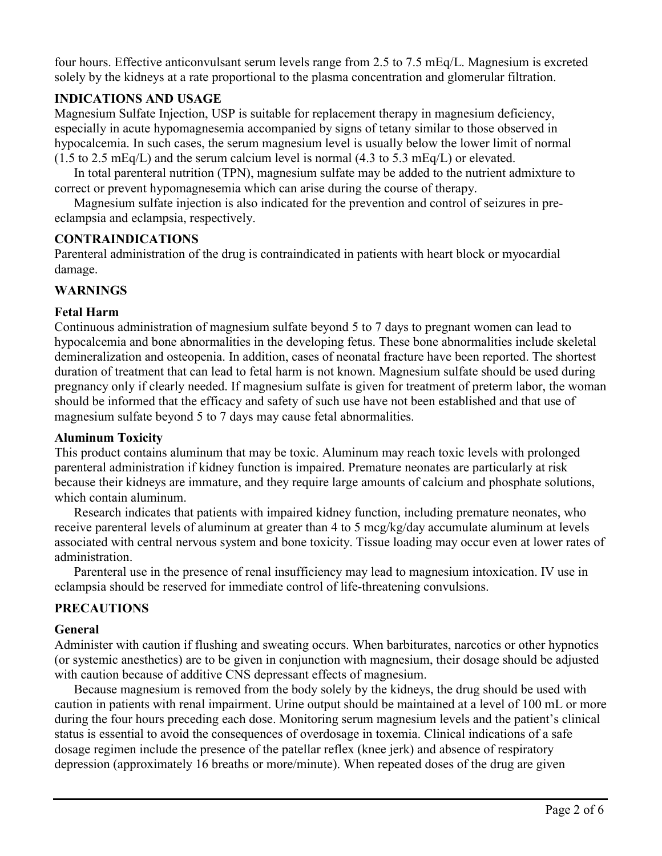four hours. Effective anticonvulsant serum levels range from 2.5 to 7.5 mEq/L. Magnesium is excreted solely by the kidneys at a rate proportional to the plasma concentration and glomerular filtration.

# **INDICATIONS AND USAGE**

Magnesium Sulfate Injection, USP is suitable for replacement therapy in magnesium deficiency, especially in acute hypomagnesemia accompanied by signs of tetany similar to those observed in hypocalcemia. In such cases, the serum magnesium level is usually below the lower limit of normal  $(1.5 \text{ to } 2.5 \text{ mEq/L})$  and the serum calcium level is normal  $(4.3 \text{ to } 5.3 \text{ mEq/L})$  or elevated.

In total parenteral nutrition (TPN), magnesium sulfate may be added to the nutrient admixture to correct or prevent hypomagnesemia which can arise during the course of therapy.

Magnesium sulfate injection is also indicated for the prevention and control of seizures in preeclampsia and eclampsia, respectively.

### **CONTRAINDICATIONS**

Parenteral administration of the drug is contraindicated in patients with heart block or myocardial damage.

### **WARNINGS**

### **Fetal Harm**

Continuous administration of magnesium sulfate beyond 5 to 7 days to pregnant women can lead to hypocalcemia and bone abnormalities in the developing fetus. These bone abnormalities include skeletal demineralization and osteopenia. In addition, cases of neonatal fracture have been reported. The shortest duration of treatment that can lead to fetal harm is not known. Magnesium sulfate should be used during pregnancy only if clearly needed. If magnesium sulfate is given for treatment of preterm labor, the woman should be informed that the efficacy and safety of such use have not been established and that use of magnesium sulfate beyond 5 to 7 days may cause fetal abnormalities.

#### **Aluminum Toxicity**

This product contains aluminum that may be toxic. Aluminum may reach toxic levels with prolonged parenteral administration if kidney function is impaired. Premature neonates are particularly at risk because their kidneys are immature, and they require large amounts of calcium and phosphate solutions, which contain aluminum.

Research indicates that patients with impaired kidney function, including premature neonates, who receive parenteral levels of aluminum at greater than 4 to 5 mcg/kg/day accumulate aluminum at levels associated with central nervous system and bone toxicity. Tissue loading may occur even at lower rates of administration.

Parenteral use in the presence of renal insufficiency may lead to magnesium intoxication. IV use in eclampsia should be reserved for immediate control of life-threatening convulsions.

# **PRECAUTIONS**

#### **General**

Administer with caution if flushing and sweating occurs. When barbiturates, narcotics or other hypnotics (or systemic anesthetics) are to be given in conjunction with magnesium, their dosage should be adjusted with caution because of additive CNS depressant effects of magnesium.

Because magnesium is removed from the body solely by the kidneys, the drug should be used with caution in patients with renal impairment. Urine output should be maintained at a level of 100 mL or more during the four hours preceding each dose. Monitoring serum magnesium levels and the patient's clinical status is essential to avoid the consequences of overdosage in toxemia. Clinical indications of a safe dosage regimen include the presence of the patellar reflex (knee jerk) and absence of respiratory depression (approximately 16 breaths or more/minute). When repeated doses of the drug are given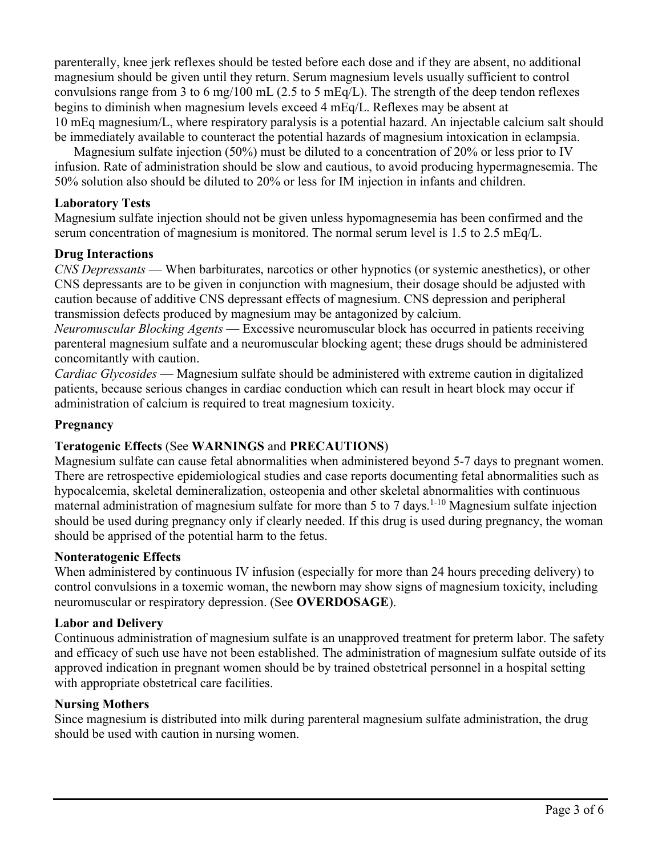parenterally, knee jerk reflexes should be tested before each dose and if they are absent, no additional magnesium should be given until they return. Serum magnesium levels usually sufficient to control convulsions range from 3 to 6 mg/100 mL (2.5 to 5 mEq/L). The strength of the deep tendon reflexes begins to diminish when magnesium levels exceed 4 mEq/L. Reflexes may be absent at 10 mEq magnesium/L, where respiratory paralysis is a potential hazard. An injectable calcium salt should be immediately available to counteract the potential hazards of magnesium intoxication in eclampsia.

Magnesium sulfate injection (50%) must be diluted to a concentration of 20% or less prior to IV infusion. Rate of administration should be slow and cautious, to avoid producing hypermagnesemia. The 50% solution also should be diluted to 20% or less for IM injection in infants and children.

## **Laboratory Tests**

Magnesium sulfate injection should not be given unless hypomagnesemia has been confirmed and the serum concentration of magnesium is monitored. The normal serum level is 1.5 to 2.5 mEq/L.

### **Drug Interactions**

*CNS Depressants* — When barbiturates, narcotics or other hypnotics (or systemic anesthetics), or other CNS depressants are to be given in conjunction with magnesium, their dosage should be adjusted with caution because of additive CNS depressant effects of magnesium. CNS depression and peripheral transmission defects produced by magnesium may be antagonized by calcium.

*Neuromuscular Blocking Agents* — Excessive neuromuscular block has occurred in patients receiving parenteral magnesium sulfate and a neuromuscular blocking agent; these drugs should be administered concomitantly with caution.

*Cardiac Glycosides* — Magnesium sulfate should be administered with extreme caution in digitalized patients, because serious changes in cardiac conduction which can result in heart block may occur if administration of calcium is required to treat magnesium toxicity.

#### **Pregnancy**

# **Teratogenic Effects** (See **WARNINGS** and **PRECAUTIONS**)

Magnesium sulfate can cause fetal abnormalities when administered beyond 5-7 days to pregnant women. There are retrospective epidemiological studies and case reports documenting fetal abnormalities such as hypocalcemia, skeletal demineralization, osteopenia and other skeletal abnormalities with continuous maternal administration of magnesium sulfate for more than 5 to 7 days.<sup>1-10</sup> Magnesium sulfate injection should be used during pregnancy only if clearly needed. If this drug is used during pregnancy, the woman should be apprised of the potential harm to the fetus.

#### **Nonteratogenic Effects**

When administered by continuous IV infusion (especially for more than 24 hours preceding delivery) to control convulsions in a toxemic woman, the newborn may show signs of magnesium toxicity, including neuromuscular or respiratory depression. (See **OVERDOSAGE**).

#### **Labor and Delivery**

Continuous administration of magnesium sulfate is an unapproved treatment for preterm labor. The safety and efficacy of such use have not been established. The administration of magnesium sulfate outside of its approved indication in pregnant women should be by trained obstetrical personnel in a hospital setting with appropriate obstetrical care facilities.

#### **Nursing Mothers**

Since magnesium is distributed into milk during parenteral magnesium sulfate administration, the drug should be used with caution in nursing women.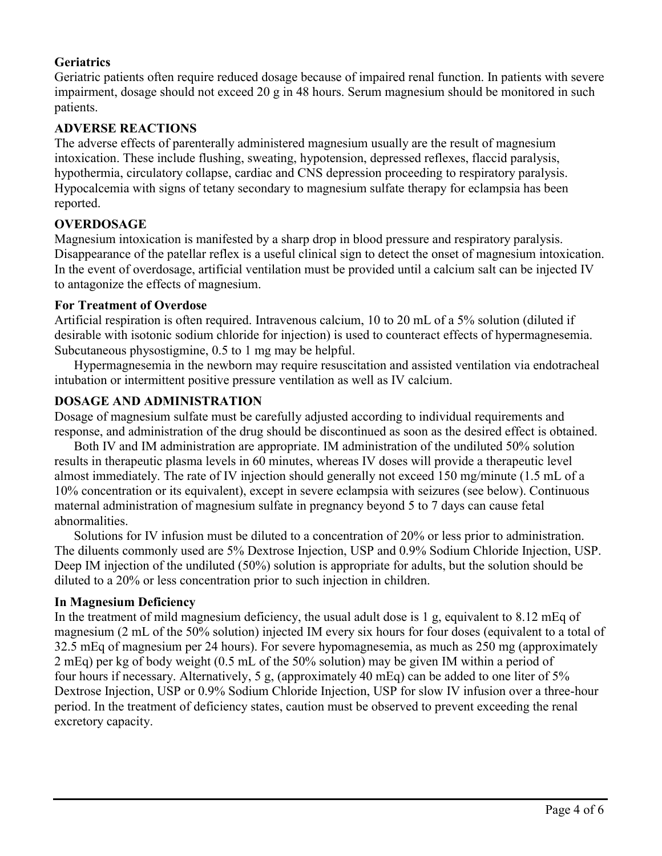# **Geriatrics**

Geriatric patients often require reduced dosage because of impaired renal function. In patients with severe impairment, dosage should not exceed 20 g in 48 hours. Serum magnesium should be monitored in such patients.

## **ADVERSE REACTIONS**

The adverse effects of parenterally administered magnesium usually are the result of magnesium intoxication. These include flushing, sweating, hypotension, depressed reflexes, flaccid paralysis, hypothermia, circulatory collapse, cardiac and CNS depression proceeding to respiratory paralysis. Hypocalcemia with signs of tetany secondary to magnesium sulfate therapy for eclampsia has been reported.

# **OVERDOSAGE**

Magnesium intoxication is manifested by a sharp drop in blood pressure and respiratory paralysis. Disappearance of the patellar reflex is a useful clinical sign to detect the onset of magnesium intoxication. In the event of overdosage, artificial ventilation must be provided until a calcium salt can be injected IV to antagonize the effects of magnesium.

### **For Treatment of Overdose**

Artificial respiration is often required. Intravenous calcium, 10 to 20 mL of a 5% solution (diluted if desirable with isotonic sodium chloride for injection) is used to counteract effects of hypermagnesemia. Subcutaneous physostigmine, 0.5 to 1 mg may be helpful.

Hypermagnesemia in the newborn may require resuscitation and assisted ventilation via endotracheal intubation or intermittent positive pressure ventilation as well as IV calcium.

# **DOSAGE AND ADMINISTRATION**

Dosage of magnesium sulfate must be carefully adjusted according to individual requirements and response, and administration of the drug should be discontinued as soon as the desired effect is obtained.

Both IV and IM administration are appropriate. IM administration of the undiluted 50% solution results in therapeutic plasma levels in 60 minutes, whereas IV doses will provide a therapeutic level almost immediately. The rate of IV injection should generally not exceed 150 mg/minute (1.5 mL of a 10% concentration or its equivalent), except in severe eclampsia with seizures (see below). Continuous maternal administration of magnesium sulfate in pregnancy beyond 5 to 7 days can cause fetal abnormalities.

Solutions for IV infusion must be diluted to a concentration of 20% or less prior to administration. The diluents commonly used are 5% Dextrose Injection, USP and 0.9% Sodium Chloride Injection, USP. Deep IM injection of the undiluted (50%) solution is appropriate for adults, but the solution should be diluted to a 20% or less concentration prior to such injection in children.

# **In Magnesium Deficiency**

In the treatment of mild magnesium deficiency, the usual adult dose is 1 g, equivalent to 8.12 mEq of magnesium (2 mL of the 50% solution) injected IM every six hours for four doses (equivalent to a total of 32.5 mEq of magnesium per 24 hours). For severe hypomagnesemia, as much as 250 mg (approximately 2 mEq) per kg of body weight (0.5 mL of the 50% solution) may be given IM within a period of four hours if necessary. Alternatively, 5 g, (approximately 40 mEq) can be added to one liter of 5% Dextrose Injection, USP or 0.9% Sodium Chloride Injection, USP for slow IV infusion over a three-hour period. In the treatment of deficiency states, caution must be observed to prevent exceeding the renal excretory capacity.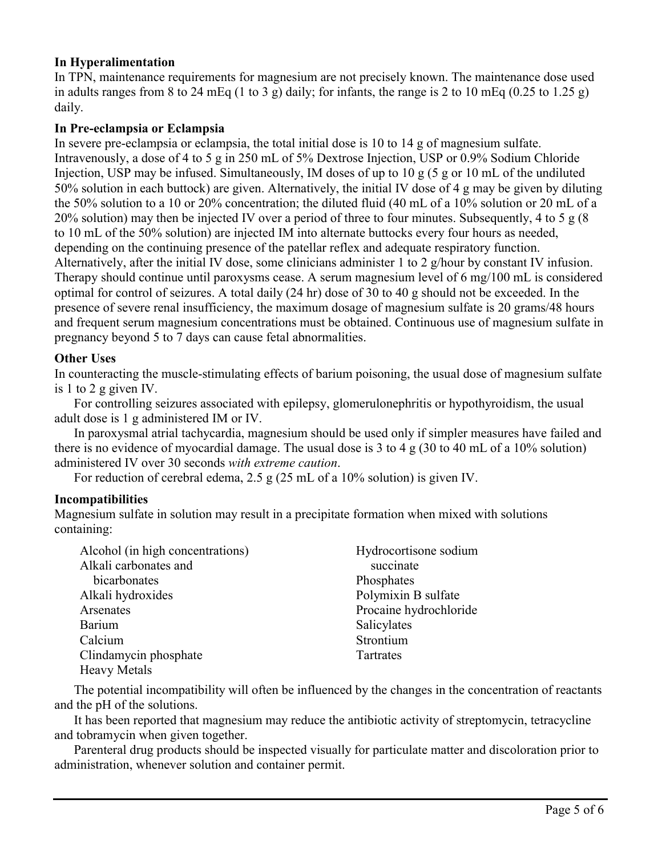# **In Hyperalimentation**

In TPN, maintenance requirements for magnesium are not precisely known. The maintenance dose used in adults ranges from 8 to 24 mEq (1 to 3 g) daily; for infants, the range is 2 to 10 mEq (0.25 to 1.25 g) daily.

## **In Pre-eclampsia or Eclampsia**

In severe pre-eclampsia or eclampsia, the total initial dose is 10 to 14 g of magnesium sulfate. Intravenously, a dose of 4 to 5 g in 250 mL of 5% Dextrose Injection, USP or 0.9% Sodium Chloride Injection, USP may be infused. Simultaneously, IM doses of up to 10 g (5 g or 10 mL of the undiluted 50% solution in each buttock) are given. Alternatively, the initial IV dose of 4 g may be given by diluting the 50% solution to a 10 or 20% concentration; the diluted fluid (40 mL of a 10% solution or 20 mL of a 20% solution) may then be injected IV over a period of three to four minutes. Subsequently, 4 to 5 g (8 to 10 mL of the 50% solution) are injected IM into alternate buttocks every four hours as needed, depending on the continuing presence of the patellar reflex and adequate respiratory function. Alternatively, after the initial IV dose, some clinicians administer 1 to 2 g/hour by constant IV infusion. Therapy should continue until paroxysms cease. A serum magnesium level of 6 mg/100 mL is considered optimal for control of seizures. A total daily (24 hr) dose of 30 to 40 g should not be exceeded. In the presence of severe renal insufficiency, the maximum dosage of magnesium sulfate is 20 grams/48 hours and frequent serum magnesium concentrations must be obtained. Continuous use of magnesium sulfate in pregnancy beyond 5 to 7 days can cause fetal abnormalities.

### **Other Uses**

In counteracting the muscle-stimulating effects of barium poisoning, the usual dose of magnesium sulfate is 1 to 2 g given IV.

For controlling seizures associated with epilepsy, glomerulonephritis or hypothyroidism, the usual adult dose is 1 g administered IM or IV.

In paroxysmal atrial tachycardia, magnesium should be used only if simpler measures have failed and there is no evidence of myocardial damage. The usual dose is 3 to 4 g (30 to 40 mL of a 10% solution) administered IV over 30 seconds *with extreme caution*.

For reduction of cerebral edema, 2.5 g (25 mL of a 10% solution) is given IV.

#### **Incompatibilities**

Magnesium sulfate in solution may result in a precipitate formation when mixed with solutions containing:

| Alcohol (in high concentrations) | Hydrocortisone sodium  |
|----------------------------------|------------------------|
| Alkali carbonates and            | succinate              |
| bicarbonates                     | Phosphates             |
| Alkali hydroxides                | Polymixin B sulfate    |
| Arsenates                        | Procaine hydrochloride |
| Barium                           | Salicylates            |
| Calcium                          | Strontium              |
| Clindamycin phosphate            | Tartrates              |
| <b>Heavy Metals</b>              |                        |

The potential incompatibility will often be influenced by the changes in the concentration of reactants and the pH of the solutions.

It has been reported that magnesium may reduce the antibiotic activity of streptomycin, tetracycline and tobramycin when given together.

Parenteral drug products should be inspected visually for particulate matter and discoloration prior to administration, whenever solution and container permit.